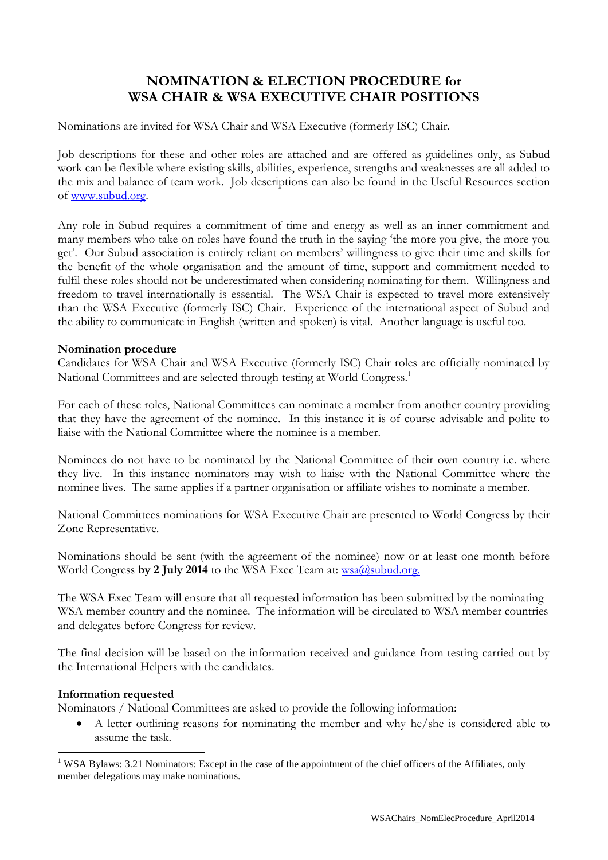## **NOMINATION & ELECTION PROCEDURE for WSA CHAIR & WSA EXECUTIVE CHAIR POSITIONS**

Nominations are invited for WSA Chair and WSA Executive (formerly ISC) Chair.

Job descriptions for these and other roles are attached and are offered as guidelines only, as Subud work can be flexible where existing skills, abilities, experience, strengths and weaknesses are all added to the mix and balance of team work. Job descriptions can also be found in the Useful Resources section of [www.subud.org.](http://www.subud.org/)

Any role in Subud requires a commitment of time and energy as well as an inner commitment and many members who take on roles have found the truth in the saying 'the more you give, the more you get'. Our Subud association is entirely reliant on members' willingness to give their time and skills for the benefit of the whole organisation and the amount of time, support and commitment needed to fulfil these roles should not be underestimated when considering nominating for them. Willingness and freedom to travel internationally is essential. The WSA Chair is expected to travel more extensively than the WSA Executive (formerly ISC) Chair. Experience of the international aspect of Subud and the ability to communicate in English (written and spoken) is vital. Another language is useful too.

## **Nomination procedure**

Candidates for WSA Chair and WSA Executive (formerly ISC) Chair roles are officially nominated by National Committees and are selected through testing at World Congress.<sup>1</sup>

For each of these roles, National Committees can nominate a member from another country providing that they have the agreement of the nominee. In this instance it is of course advisable and polite to liaise with the National Committee where the nominee is a member.

Nominees do not have to be nominated by the National Committee of their own country i.e. where they live. In this instance nominators may wish to liaise with the National Committee where the nominee lives. The same applies if a partner organisation or affiliate wishes to nominate a member.

National Committees nominations for WSA Executive Chair are presented to World Congress by their Zone Representative.

Nominations should be sent (with the agreement of the nominee) now or at least one month before World Congress by 2 July 2014 to the WSA Exec Team at: [wsa@subud.org.](mailto:wsa@subud.org)

The WSA Exec Team will ensure that all requested information has been submitted by the nominating WSA member country and the nominee. The information will be circulated to WSA member countries and delegates before Congress for review.

The final decision will be based on the information received and guidance from testing carried out by the International Helpers with the candidates.

## **Information requested**

<u>.</u>

Nominators / National Committees are asked to provide the following information:

 A letter outlining reasons for nominating the member and why he/she is considered able to assume the task.

<sup>&</sup>lt;sup>1</sup> WSA Bylaws: 3.21 Nominators: Except in the case of the appointment of the chief officers of the Affiliates, only member delegations may make nominations.